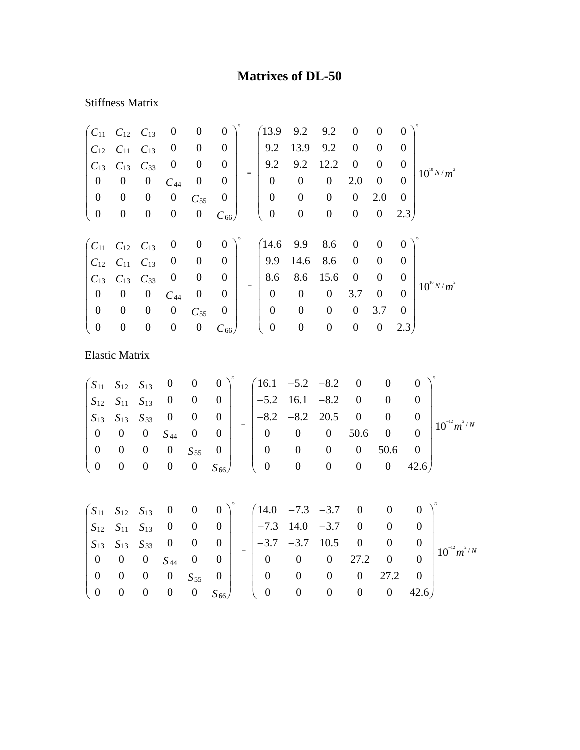## **Matrixes of DL-50**

## Stiffness Matrix

| $C_{11}$         | $C_{12}$              | $C_{13}$         | $\boldsymbol{0}$ | $\boldsymbol{0}$ | $\boldsymbol{0}$ |     | 13.9             | 9.2              | 9.2              | $\boldsymbol{0}$ | $\boldsymbol{0}$ | $\overline{0}$   |                 |
|------------------|-----------------------|------------------|------------------|------------------|------------------|-----|------------------|------------------|------------------|------------------|------------------|------------------|-----------------|
| $C_{12}$         | $C_{11}$              | $C_{13}$         | $\boldsymbol{0}$ | $\boldsymbol{0}$ | $\boldsymbol{0}$ |     | 9.2              | 13.9             | 9.2              | $\boldsymbol{0}$ | $\boldsymbol{0}$ | $\overline{0}$   |                 |
| $C_{13}$         | $C_{13}$              | $C_{33}$         | $\boldsymbol{0}$ | $\boldsymbol{0}$ | $\boldsymbol{0}$ |     | 9.2              | 9.2              | 12.2             | $\boldsymbol{0}$ | $\boldsymbol{0}$ | $\boldsymbol{0}$ |                 |
| $\boldsymbol{0}$ | $\boldsymbol{0}$      | $\boldsymbol{0}$ | $C_{44}$         | $\boldsymbol{0}$ | $\boldsymbol{0}$ | $=$ | $\boldsymbol{0}$ | $\boldsymbol{0}$ | $\boldsymbol{0}$ | 2.0              | $\boldsymbol{0}$ | $\overline{0}$   | $10^{10} N/m^2$ |
| $\boldsymbol{0}$ | $\boldsymbol{0}$      | $\boldsymbol{0}$ | $\boldsymbol{0}$ | $C_{55}$         | $\boldsymbol{0}$ |     | $\boldsymbol{0}$ | $\boldsymbol{0}$ | $\boldsymbol{0}$ | $\boldsymbol{0}$ | 2.0              | $\overline{0}$   |                 |
| $\boldsymbol{0}$ | $\boldsymbol{0}$      | $\boldsymbol{0}$ | $\boldsymbol{0}$ | $\boldsymbol{0}$ | $C_{66}$         |     | $\boldsymbol{0}$ | $\boldsymbol{0}$ | $\boldsymbol{0}$ | $\boldsymbol{0}$ | $\boldsymbol{0}$ | 2.3)             |                 |
|                  |                       |                  |                  |                  |                  |     |                  |                  |                  |                  |                  |                  |                 |
| $C_{11}$         | $C_{12}$              | $C_{13}$         | $\boldsymbol{0}$ | $\boldsymbol{0}$ | $\boldsymbol{0}$ |     | 14.6             | 9.9              | 8.6              | $\boldsymbol{0}$ | $\boldsymbol{0}$ | $\boldsymbol{0}$ |                 |
| $C_{12}$         | $C_{11}$              | $C_{13}$         | $\boldsymbol{0}$ | $\boldsymbol{0}$ | $\theta$         |     | 9.9              | 14.6             | 8.6              | $\boldsymbol{0}$ | $\boldsymbol{0}$ | $\overline{0}$   |                 |
| $C_{13}$         | $C_{13}$              | $C_{33}$         | $\boldsymbol{0}$ | $\boldsymbol{0}$ | $\boldsymbol{0}$ |     | 8.6              | 8.6              | 15.6             | $\boldsymbol{0}$ | $\boldsymbol{0}$ | $\boldsymbol{0}$ |                 |
| $\boldsymbol{0}$ | $\boldsymbol{0}$      | $\boldsymbol{0}$ | $C_{44}$         | $\boldsymbol{0}$ | $\boldsymbol{0}$ | $=$ | $\overline{0}$   | $\overline{0}$   | $\boldsymbol{0}$ | 3.7              | $\mathbf{0}$     | $\theta$         | $10^{10} N/m^2$ |
| $\boldsymbol{0}$ | $\boldsymbol{0}$      | $\boldsymbol{0}$ | $\boldsymbol{0}$ | $C_{55}$         | $\boldsymbol{0}$ |     | $\boldsymbol{0}$ | $\boldsymbol{0}$ | $\boldsymbol{0}$ | $\boldsymbol{0}$ | 3.7              | $\overline{0}$   |                 |
| $\boldsymbol{0}$ | $\boldsymbol{0}$      | $\boldsymbol{0}$ | $\boldsymbol{0}$ | $\boldsymbol{0}$ | $C_{66}$         |     | $\boldsymbol{0}$ | $\boldsymbol{0}$ | $\boldsymbol{0}$ | $\boldsymbol{0}$ | $\boldsymbol{0}$ | 2.3)             |                 |
|                  |                       |                  |                  |                  |                  |     |                  |                  |                  |                  |                  |                  |                 |
|                  | <b>Elastic Matrix</b> |                  |                  |                  |                  |     |                  |                  |                  |                  |                  |                  |                 |
|                  |                       |                  |                  |                  |                  |     |                  |                  |                  |                  |                  |                  |                 |
| $S_{11}$         | $S_{12}$              | $S_{13}$         | $\boldsymbol{0}$ | $\boldsymbol{0}$ | $\boldsymbol{0}$ |     | 16.1             | $-5.2$           | $-8.2$           | $\overline{0}$   | $\boldsymbol{0}$ |                  | $\Omega$        |
| $S_{12}$         | $S_{11}$              | $S_{13}$         | $\boldsymbol{0}$ | $\boldsymbol{0}$ | $\boldsymbol{0}$ |     | $-5.2$           | 16.1             | $-8.2$           | $\overline{0}$   | $\boldsymbol{0}$ |                  | $\overline{0}$  |

|  |                          |                                                                                            | $312$ $311$ $313$ U U U |                                                                                          | $\begin{bmatrix} -3.2 & 10.1 & -0.2 & 0 & 0 \end{bmatrix}$ |                |      |                |                  |
|--|--------------------------|--------------------------------------------------------------------------------------------|-------------------------|------------------------------------------------------------------------------------------|------------------------------------------------------------|----------------|------|----------------|------------------|
|  |                          | $\begin{vmatrix} S_{13} & S_{13} & S_{33} & 0 & 0 \\ 0 & 0 & 0 & S_{44} & 0 \end{vmatrix}$ |                         | $\begin{array}{c cccc}\n & -8.2 & -8.2 & 20.5 & 0 \\ \hline\n0 & 0 & 0 & 0\n\end{array}$ |                                                            |                |      |                | $10^{-12} m^2/N$ |
|  |                          |                                                                                            |                         |                                                                                          |                                                            |                |      |                |                  |
|  | $\overline{\phantom{0}}$ | 0 $S_{55}$ 0                                                                               |                         |                                                                                          |                                                            | $\overline{0}$ | 50.6 |                |                  |
|  |                          |                                                                                            | 0 $S_{66}$              |                                                                                          |                                                            |                |      | $0 \quad 42.6$ |                  |

|                                                                                                     |  |                                          |                |          |                                       | $\begin{pmatrix} S_{11} & S_{12} & S_{13} & 0 & 0 & 0 \end{pmatrix}^{\circ}$ $\begin{pmatrix} 14.0 & -7.3 & -3.7 & 0 & 0 & 0 \end{pmatrix}^{\circ}$<br>$\begin{array}{ c c c c c c c c c } \hline S_{12} & S_{11} & S_{13} & 0 & 0 & 0 & -7.3 & 14.0 & -3.7 & 0 \ \hline \end{array}$ |                   |                |      |                |                  |
|-----------------------------------------------------------------------------------------------------|--|------------------------------------------|----------------|----------|---------------------------------------|---------------------------------------------------------------------------------------------------------------------------------------------------------------------------------------------------------------------------------------------------------------------------------------|-------------------|----------------|------|----------------|------------------|
|                                                                                                     |  |                                          |                |          |                                       | $\begin{vmatrix} -3.7 & -3.7 & 10.5 & 0 \end{vmatrix}$                                                                                                                                                                                                                                |                   |                |      |                | $10^{-12} m^2/N$ |
| $\begin{vmatrix} S_{13} & S_{13} & S_{33} & 0 & 0 & 0 \ 0 & 0 & 0 & S_{44} & 0 & 0 \end{vmatrix}$ = |  |                                          |                |          |                                       | $\begin{array}{cccc} 0 & 0 & 0 & 27.2 & 0 \end{array}$                                                                                                                                                                                                                                |                   |                |      |                |                  |
|                                                                                                     |  | $0 \quad 0 \quad 0 \quad S_{55} \quad 0$ |                |          | $\overline{0}$                        |                                                                                                                                                                                                                                                                                       | $\theta$          | $\overline{0}$ | 27.2 |                |                  |
| $\begin{pmatrix} 0 & 0 & 0 & 0 \\ 0 & 0 & 0 & 0 \end{pmatrix}$                                      |  |                                          | $\overline{0}$ | $S_{66}$ | $\begin{pmatrix} 0 & 0 \end{pmatrix}$ |                                                                                                                                                                                                                                                                                       | $\hspace{1.6cm}0$ | $\overline{0}$ |      | $0 \quad 42.6$ |                  |